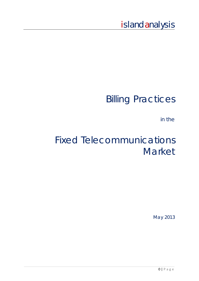# island analysis

# Billing Practices

in the

# Fixed Telecommunications Market

May 2013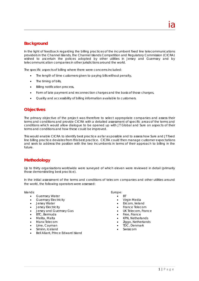In the light of feedback regarding the billing practices of the incumbent fixed line telecommunications providers in the Channel Islands, the Channel Islands Competition and Regulatory Commission (CICRA) wished to ascertain the polices adopted by other utilities in Jersey and Guernsey and by telecommunication companies in other jurisdictions around the world.

The specific aspects of billing where there were concerns included:

- The length of time customers given to paying bills without penalty,
- The timing of bills,
- Billing notification process,
- Form of late payment and reconnection charges and the basis of those charges,
- Quality and accessibility of billing information available to customers.

# **Objectives**

The primary objective of the project was therefore to select appropriate companies and assess their terms and conditions and provide CICRA with a detailed assessment of specific areas of the terms and conditions which would allow dialogue to be opened up with JT Global and Sure on aspects of their terms and conditions and how these could be improved.

This would enable CICRA to identify best practice as far as possible and to assess how Sure and JT fixed line billing practice deviates from this best practice. CICRA could then manage customer expectations and seek to address the position with the two incumbents in terms of their approach to billing in the future.

# **Methodology**

Up to thirty organisations worldwide were surveyed of which eleven were reviewed in detail (primarily those demonstrating best practice).

In the initial assessment of the terms and conditions of telecom companies and other utilities around the world, the following operators were assessed:

Islands: Europe: Europe: Europe: Europe: Europe: Europe: Europe: Europe: Europe: Europe: Europe: Europe: Europe: Europe: Europe: Europe: Europe: Europe: Europe: Europe: Europe: Europe: Europe: Europe: Europe: Europe: Europ

- Guernsey Water **BT**
- Guernsey Electricity **Canadia Calculate Contract Contract Contract Contract Contract Contract Contract Contract Contract Contract Contract Contract Contract Contract Contract Contract Contract Contract Contract Contract**
- 
- 
- Jersey and Guernsey Gas UK Telecom, France
- BTC, Bermuda **Free, France**
- 
- 
- 
- Siminn, Iceland **Siminn**, Iceland **Swisscom Constanting Constanting Constanting Constanting Constanting Constanting Constanting Constanting Constanting Constanting Constanting Constanting Constanting Constanting Constant**
- Bell Aliant, Prince Edward Island

- 
- 
- Jersey Water **Eircom, Ireland**
- Jersey Electricity France Telecom
	-
	-
	- Melita, Malta KPN, Netherlands
	- Manx Telecom **Example 2** in the control of the control of the control of the control of the control of the control of the control of the control of the control of the control of the control of the control of the control of
- Lime, Cayman **TDC**, Denmark
	-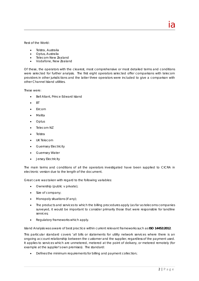Rest of the World:

- Telstra, Australia
- Optus, Australia
- Telecom New Zealand
- Vodafone, New Zealand

Of these, the operators with the clearest, most comprehensive or most detailed terms and conditions were selected for further analysis. The first eight operators selected offer comparisons with telecom providers in other jurisdictions and the latter three operators were included to give a comparison with other Channel Island utilities.

<u>ia dia mponina mpikambana amin'ny fivondronan-kaominin'i Amerika ao amin'ny fivondronan-kaominin'i Amerika ao</u>

These were:

- Bell Aliant, Prince Edward Island
- $\bullet$  RT
- $\cdot$  Fircom
- Melita
- Optus
- Telecom NZ
- Telstra
- UK Telecom
- **•** Guernsey Electricity
- **•** Guernsey Water
- **•** Jersey Electricity

The main terms and conditions of all the operators investigated have been supplied to CICRA in electronic version due to the length of the document.

Great care was taken with regard to the following variables:

- Ownership (public v private);
- Size of company;
- Monopoly situations (if any);
- The products and services to which the billing procedures apply (as far as telecoms companies surveyed, it would be important to consider primarily those that were responsible for landline services;
- Regulatory frameworks which apply.

Island Analysis was aware of best practice within current relevant frameworks such as **ISO 14452:2012**.

This particular standard covers 'all bills or statements for utility network services where there is an ongoing account relationship between the customer and the supplier, regardless of the payment used. It applies to services which are unmetered, metered at the point of delivery, or metered remotely (for example at the supplier's own premises). The standard:

Defines the minimum requirements for billing and payment collection;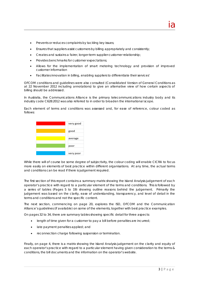- Prevents or reduces complaints by tackling key issues;
- Ensures that suppliers assist customers by billing appropriately and consistently;
- Creates and sustains a fairer, longer-term supplier-customer relationship;
- Provides benchmarks for customer expectations;
- Allows for the implementation of smart metering technology and provision of improved customer information
- Facilitates innovation in billing, enabling suppliers to differentiate their services'

OFCOM conditions and guidelines were also consulted (Consolidated Version of General Conditions as at 22 November 2012 including annotations) to give an alternative view of how certain aspects of billing should be addressed.

In Australia, the Communications Alliance is the primary telecommunications industry body and its industry code C628:2012 was also referred to in order to broaden the international scope.

Each element of terms and conditions was assessed and, for ease of reference, colour coded as follows:



While there will of course be some degree of subjectivity, the colour coding will enable CICRA to focus more easily on elements of best practice within different organisations. At any time, the actual terms and conditions can be read if there is judgement required.

The first section of this report contains a summary matrix showing the Island Analysis judgement of each operator's practice with regard to a particular element of the terms and conditions. This is followed by a series of tables (Pages 5 to 19) showing outline reasons behind the judgement. Primarily the judgement was based on the clarity, ease of understanding, transparency, and level of detail in the terms and conditions and not the specific content.

The next section, commencing on page 20, explores the ISO, OFCOM and the Communication Alliance's guidelines (if available) on some of the elements, together with best practice examples.

On pages 32 to 34, there are summary tables showing specific detail for three aspects:

- length of time given for a customer to pay a bill before penalties are incurred;
- late payment penalties applied; and
- reconnection charge following suspension or termination.

Finally, on page 4, there is a matrix showing the Island Analysis judgement on the clarity and equity of each operator's practice with regard to a particular element having given consideration to the terms & conditions, the bill documents and the information on the operator's website.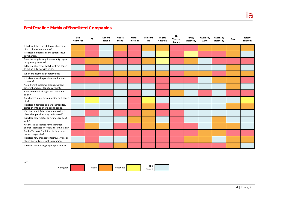# **Best Practice Matrix of Shortlisted Companies**

|                                                                                              | <b>Bell</b><br><b>Aliant PEI</b> | <b>BT</b> | EirCom<br>Ireland | Melita<br>Malta | Optus<br>Australia | Telecom<br><b>NZ</b> | Telstra<br>Australia | UK<br>Telecom<br>France | Jersey<br>Electricity | Guernsey<br>Water | Guernsey<br>Electricity | Sure | Jersey<br><b>Telecom</b> |
|----------------------------------------------------------------------------------------------|----------------------------------|-----------|-------------------|-----------------|--------------------|----------------------|----------------------|-------------------------|-----------------------|-------------------|-------------------------|------|--------------------------|
| It is clear if there are different charges for<br>different payment options?                 |                                  |           |                   |                 |                    |                      |                      |                         |                       |                   |                         |      |                          |
| It is clear if different billing options incur<br>any charges?                               |                                  |           |                   |                 |                    |                      |                      |                         |                       |                   |                         |      |                          |
| Does the supplier require a security deposit<br>or upfront payments?                         |                                  |           |                   |                 |                    |                      |                      |                         |                       |                   |                         |      |                          |
| Is there a charge for switching from paper<br>to online billing or vice versa?               |                                  |           |                   |                 |                    |                      |                      |                         |                       |                   |                         |      |                          |
| When are payments generally due?                                                             |                                  |           |                   |                 |                    |                      |                      |                         |                       |                   |                         |      |                          |
| It is clear what the penalties are for late<br>payment?                                      |                                  |           |                   |                 |                    |                      |                      |                         |                       |                   |                         |      |                          |
| Are different customer groups charged<br>different amounts for late payment?                 |                                  |           |                   |                 |                    |                      |                      |                         |                       |                   |                         |      |                          |
| How are the call charges and rental fees<br>billed?                                          |                                  |           |                   |                 |                    |                      |                      |                         |                       |                   |                         |      |                          |
| Are charges made for requesting past paper<br>bills?                                         |                                  |           |                   |                 |                    |                      |                      |                         |                       |                   |                         |      |                          |
| Is it clear if itemised bills are charged for,<br>either prior to or after a billing period? |                                  |           |                   |                 |                    |                      |                      |                         |                       |                   |                         |      |                          |
| If a direct debit fails to be honoured, is it<br>clear what penalties may be incurred?       |                                  |           |                   |                 |                    |                      |                      |                         |                       |                   |                         |      |                          |
| Is it clear how rebates or refunds are dealt<br>with?                                        |                                  |           |                   |                 |                    |                      |                      |                         |                       |                   |                         |      |                          |
| Are there any charges for termination<br>and/or reconnection following termination?          |                                  |           |                   |                 |                    |                      |                      |                         |                       |                   |                         |      |                          |
| Do the Terms & Conditions include data<br>protection policies?                               |                                  |           |                   |                 |                    |                      |                      |                         |                       |                   |                         |      |                          |
| Is it clear how changes to terms, services or<br>charges are advised to the customer?        |                                  |           |                   |                 |                    |                      |                      |                         |                       |                   |                         |      |                          |
| Is there a clear billing dispute procedure?                                                  |                                  |           |                   |                 |                    |                      |                      |                         |                       |                   |                         |      |                          |

key:

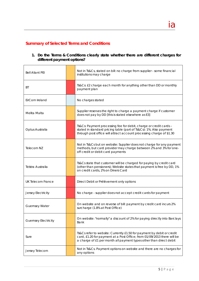# **Summary of Selected Terms and Conditions**

| 1. Do the Terms & Conditions clearly state whether there are different charges for |  |  |  |  |
|------------------------------------------------------------------------------------|--|--|--|--|
| different payment options?                                                         |  |  |  |  |

| <b>Bell Aliant PEI</b>      | Not in Ts&Cs, stated on bill: no charge from supplier - some financial<br>institutions may charge                                                                                                                       |
|-----------------------------|-------------------------------------------------------------------------------------------------------------------------------------------------------------------------------------------------------------------------|
| ВT                          | Ts&Cs: £2 charge each month for anything other than DD or monthly<br>payment plan                                                                                                                                       |
| EirCom Ireland              | No charges stated                                                                                                                                                                                                       |
| Melita Malta                | Supplier reserves the right to charge a payment charge if customer<br>does not pay by DD [this is stated elsewhere as E3]                                                                                               |
| Optus Australia             | Ts&Cs: Payment processing fee for debit, charge or credit cards -<br>stated in standard pricing table (part of Ts&Cs): 1%. Also payment<br>through post office will attract account processing charge of \$1.30         |
| Telecom NZ                  | Not in Ts&Cs but on website: Supplier does not charge for any payment<br>methods, but card provider may charge between 2% and 3% for one-<br>off credit or debit card payments                                          |
| Telstra Australia           | Ts&Cs state that customer will be charged for paying by credit card<br>(other than pensioners); Website states that payment is free by DD, 1%<br>on credit cards, 2% on Diners Card                                     |
| <b>UK Telecom France</b>    | Direct Debit or Prélèvement only options                                                                                                                                                                                |
| Jersey Electricity          | No charge - supplier does not accept credit cards for payment                                                                                                                                                           |
| <b>Guernsey Water</b>       | On website and on reverse of bill: payment by credit card incurs 2%<br>surcharge (1.8% at Post Office)                                                                                                                  |
| <b>Guernsey Electricity</b> | On website: "normally" a discount of 2% for paying directly into Barclays<br>Bank                                                                                                                                       |
| Sure                        | Ts&Cs refer to website: Currently £1.50 for payment by debit or credit<br>card, £1.20 for payment at a Post Office; from 01/09/2013 there will be<br>a charge of £1 per month all payment types other than direct debit |
| Jersey Telecom              | Not in Ts&Cs. Payment options on website and there are no charges for<br>any options                                                                                                                                    |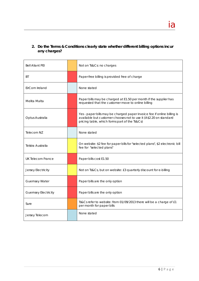# **2. Do the Terms & Conditions clearly state whether different billing options incur any charges?**

| <b>Bell Aliant PEI</b>      | Not on Ts&Cs: no charges                                                                                                                                                                      |
|-----------------------------|-----------------------------------------------------------------------------------------------------------------------------------------------------------------------------------------------|
| ВT                          | Paper-free billing is provided free of charge                                                                                                                                                 |
| EirCom Ireland              | None stated                                                                                                                                                                                   |
| Melita Malta                | Paper bills may be charged at E1.50 per month if the supplier has<br>requested that the customer move to online billing                                                                       |
| Optus Australia             | Yes - paper bills may be charged paper invoice fee if online billing is<br>available but customer chooses not to use it (A\$2.20 on standard<br>pricing table, which forms part of the Ts&Cs) |
| Telecom NZ                  | None stated                                                                                                                                                                                   |
| Telstra Australia           | On website: \$2 fee for paper bills for "selected plans", \$2 electronic bill<br>fee for "selected plans"                                                                                     |
| UK Telecom France           | Paper bills cost E1.50                                                                                                                                                                        |
| Jersey Electricity          | Not on Ts&Cs, but on website: £3 quarterly discount for e-billing                                                                                                                             |
| <b>Guernsey Water</b>       | Paper bills are the only option                                                                                                                                                               |
| <b>Guernsey Electricity</b> | Paper bills are the only option                                                                                                                                                               |
| Sure                        | Ts&Cs refer to website: from 01/09/2013 there will be a charge of £1<br>per month for paper bills                                                                                             |
| Jersey Telecom              | None stated                                                                                                                                                                                   |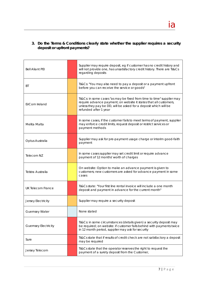# **3. Do the Terms & Conditions clearly state whether the supplier requires a security deposit or upfront payments?**

| <b>Bell Aliant PEI</b>      | Supplier may require deposit, eg if customer has no credit history and<br>will not provide one, has unsatisfactory credit history. There are Ts&Cs<br>regarding deposits                                                                |
|-----------------------------|-----------------------------------------------------------------------------------------------------------------------------------------------------------------------------------------------------------------------------------------|
| ВT                          | Ts&Cs: "You may also need to pay a deposit or a payment upfront<br>before you can receive the service or goods"                                                                                                                         |
| EirCom Ireland              | Ts&Cs: in some cases "as may be fixed from time to time" supplier may<br>require advance payment; on website it states that all customers,<br>unless they pay be DD, will be asked for a deposit which will be<br>refunded after 1 year |
| Melita Malta                | In some cases, if the customer fails to meet terms of payment, supplier<br>may enforce credit limits, request deposit or restrict services or<br>payment methods                                                                        |
| Optus Australia             | Supplier may ask for pre-payment usage charge or interim good-faith<br>payment                                                                                                                                                          |
| Telecom NZ                  | In some cases supplier may set credit limit or require advance<br>payment of 12 months' worth of charges                                                                                                                                |
| Telstra Australia           | On website: Option to make an advance payment is given to<br>customers; new customers are asked for advance payment in some<br>cases                                                                                                    |
| UK Telecom France           | Ts&Cs state: "Your first line rental invoice will include a one month<br>deposit and payment in advance for the current month"                                                                                                          |
| Jersey Electricity          | Supplier may require a security deposit                                                                                                                                                                                                 |
| <b>Guernsey Water</b>       | None stated                                                                                                                                                                                                                             |
| <b>Guernsey Electricity</b> | Ts&Cs: in some circumstances (details given) a security deposit may<br>be required; on website: if customer falls behind with payments twice<br>in 12 month period, supplier may ask for security                                       |
| Sure                        | Ts&Cs state that if results of credit check are not satisfactory a deposit<br>may be required                                                                                                                                           |
| Jersey Telecom              | Ts&Cs state that the operator reserves the right to request the<br>payment of a surety deposit from the Customer,                                                                                                                       |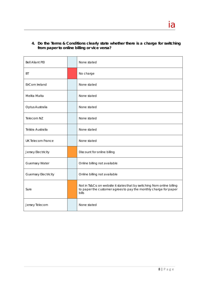**4. Do the Terms & Conditions clearly state whether there is a charge for** *switching* **from paper to online billing or vice versa?** 

| <b>Bell Aliant PEI</b>      | None stated                                                                                                                                           |
|-----------------------------|-------------------------------------------------------------------------------------------------------------------------------------------------------|
| BT                          | No charge                                                                                                                                             |
| EirCom Ireland              | None stated                                                                                                                                           |
| Melita Malta                | None stated                                                                                                                                           |
| Optus Australia             | None stated                                                                                                                                           |
| Telecom NZ                  | None stated                                                                                                                                           |
| Telstra Australia           | None stated                                                                                                                                           |
| <b>UK Telecom France</b>    | None stated                                                                                                                                           |
| Jersey Electricity          | Discount for online billing                                                                                                                           |
| <b>Guernsey Water</b>       | Online billing not available                                                                                                                          |
| <b>Guernsey Electricity</b> | Online billing not available                                                                                                                          |
| Sure                        | Not in Ts&Cs: on website it states that by switching from online billing<br>to paper the customer agrees to pay the monthly charge for paper<br>bills |
| Jersey Telecom              | None stated                                                                                                                                           |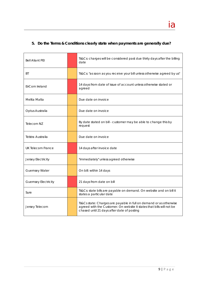# **5. Do the Terms & Conditions clearly state when payments are generally due?**

| <b>Bell Aliant PEI</b>      | Ts&Cs: charges will be considered past due thirty days after the billing<br>date                                                                                                          |
|-----------------------------|-------------------------------------------------------------------------------------------------------------------------------------------------------------------------------------------|
| ВT                          | Ts&Cs: "as soon as you receive your bill unless otherwise agreed by us"                                                                                                                   |
| EirCom Ireland              | 14 days from date of issue of account unless otherwise stated or<br>agreed                                                                                                                |
| Melita Malta                | Due date on invoice                                                                                                                                                                       |
| Optus Australia             | Due date on invoice                                                                                                                                                                       |
| Telecom NZ                  | By date stated on bill - customer may be able to change this by<br>request                                                                                                                |
| Telstra Australia           | Due date on invoice                                                                                                                                                                       |
| UK Telecom France           | 14 days after invoice date                                                                                                                                                                |
| Jersey Electricity          | "immediately" unless agreed otherwise                                                                                                                                                     |
| <b>Guernsey Water</b>       | On bill: within 14 days                                                                                                                                                                   |
| <b>Guernsey Electricity</b> | 21 days from date on bill                                                                                                                                                                 |
| Sure                        | Ts&Cs: state bills are payable on demand. On website and on bill it<br>states a particular date                                                                                           |
| Jersey Telecom              | Ts&Cs state: Charges are payable in full on demand or as otherwise<br>agreed with the Customer. On website it states that bills will not be<br>chased until 21 days after date of posting |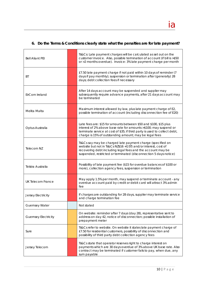# **6. Do the Terms & Conditions clearly state what the penalties are for late payment?**

| <b>Bell Aliant PEI</b>      | Ts&Cs: Late payment charges will be calculated as set out on the<br>customer invoice. Also, possible termination of account (if bill is >\$50<br>or >2 months overdue). Invoice: 3% late payment charge per month                                                              |
|-----------------------------|--------------------------------------------------------------------------------------------------------------------------------------------------------------------------------------------------------------------------------------------------------------------------------|
| ВT                          | £7.50 late payment charge if not paid within 10 days of reminder (7<br>days if pay monthly); suspension or termination after (generally) 28<br>days; debt collection fees if necessary                                                                                         |
| EirCom Ireland              | After 14 days account may be suspended and supplier may<br>subsequently require advance payments, after 21 days account may<br>be terminated                                                                                                                                   |
| Melita Malta                | Maximum interest allowed by law, plus late payment charge of E2,<br>possible termination of account (including disconnection fee of E20)                                                                                                                                       |
| Optus Australia             | Late fees are: \$15 for amounts between \$50 and \$100, \$15 plus<br>interest of 2% above base rate for amounts >\$100; may suspend or<br>terminate service at cost of \$35; if third party is used to collect debt,<br>charge is 15% of outstanding amount; may be legal fees |
| Telecom NZ                  | Ts&Cs say may be charged late payment charge (specified on<br>website but not in Ts&Cs NZ\$16 +GST) and/or interest, cost of<br>recovering debt including legal fees and the account may be<br>suspended, restricted or terminated (disconnection 5 days notice)               |
| Telstra Australia           | Possibility of late payment fee (\$15 for overdue balances of \$100 or<br>more), collection agency fees, suspension or termination                                                                                                                                             |
| <b>UK Telecom France</b>    | May apply 1.5% per month, may suspend or terminate account - any<br>overdue account paid by credit or debit card will attract 3% admin<br>fee                                                                                                                                  |
| Jersey Electricity          | If charges are outstanding for 28 days, supplier may terminate service<br>and charge termination fee                                                                                                                                                                           |
| <b>Guernsey Water</b>       | Not stated                                                                                                                                                                                                                                                                     |
| <b>Guernsey Electricity</b> | On website: reminder after 7 days (day 28), representative sent to<br>address on day 42, notice of disconnection; possible installation of<br>prepayment meter                                                                                                                 |
| Sure                        | Ts&Cs refer to website. On website it states late payment charge of<br>£7.50 for residential customers, possibility of disconnection and<br>possibility of third party debt collection agency fees                                                                             |
| Jersey Telecom              | Ts&Cs state that operator reserves right to charge interest on<br>payments which are 30 days overdue of 3% above UK base rate. Also<br>contract may be terminated if customer fails to pay, when due, any<br>sum payable                                                       |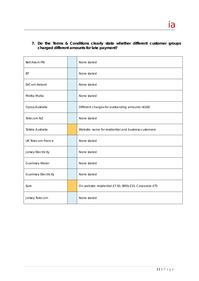**7. Do the Terms & Conditions clearly state whether different customer groups charged different amounts for late payment?** 

| <b>Bell Aliant PEI</b>      | None stated                                            |
|-----------------------------|--------------------------------------------------------|
| <b>BT</b>                   | None stated                                            |
| EirCom Ireland              | None stated                                            |
| Melita Malta                | None stated                                            |
| Optus Australia             | Different charges for outstanding amounts >\$100       |
| Telecom NZ                  | None stated                                            |
| Telstra Australia           | Website: same for residential and business customers   |
| <b>UK Telecom France</b>    | None stated                                            |
| Jersey Electricity          | None stated                                            |
| <b>Guernsey Water</b>       | None stated                                            |
| <b>Guernsey Electricity</b> | None stated                                            |
| Sure                        | On website: residential £7.50, SMEs £15, Corporate £75 |
| Jersey Telecom              | None stated                                            |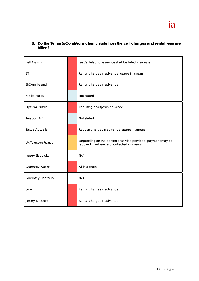# **8. Do the Terms & Conditions clearly state how the call charges and rental fees are billed?**

| <b>Bell Aliant PEI</b>      | Ts&Cs: Telephone service shall be billed in arrears                                                         |
|-----------------------------|-------------------------------------------------------------------------------------------------------------|
| BT                          | Rental charges in advance, usage in arrears                                                                 |
| EirCom Ireland              | Rental charges in advance                                                                                   |
| Melita Malta                | Not stated                                                                                                  |
| Optus Australia             | Recurring charges in advance                                                                                |
| Telecom NZ                  | Not stated                                                                                                  |
| Telstra Australia           | Regular charges in advance, usage in arrears                                                                |
| <b>UK Telecom France</b>    | Depending on the particular service provided, payment may be<br>required in advance or collected in arrears |
| Jersey Electricity          | N/A                                                                                                         |
| <b>Guernsey Water</b>       | All in arrears                                                                                              |
| <b>Guernsey Electricity</b> | N/A                                                                                                         |
| Sure                        | Rental charges in advance                                                                                   |
| Jersey Telecom              | Rental charges in advance                                                                                   |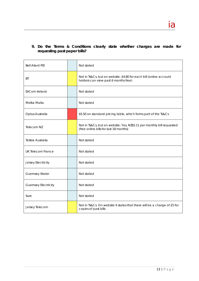# **9. Do the Terms & Conditions clearly state whether charges are made for requesting past paper bills?**

| <b>Bell Aliant PEI</b>      | Not stated                                                                                                       |
|-----------------------------|------------------------------------------------------------------------------------------------------------------|
| ВT                          | Not in Ts&Cs, but on website: £4.80 for each bill (online account<br>holders can view past 6 months free)        |
| EirCom Ireland              | Not stated                                                                                                       |
| Melita Malta                | Not stated                                                                                                       |
| Optus Australia             | \$5.50 on standard pricing table, which forms part of the Ts&Cs                                                  |
| Telecom NZ                  | Not in Ts&Cs, but on website: Yes, NZ\$5.11 per monthly bill requested<br>(free online bills for last 18 months) |
| Telstra Australia           | Not stated                                                                                                       |
| <b>UK Telecom France</b>    | Not stated                                                                                                       |
| Jersey Electricity          | Not stated                                                                                                       |
| Guernsey Water              | Not stated                                                                                                       |
| <b>Guernsey Electricity</b> | Not stated                                                                                                       |
| Sure                        | Not stated                                                                                                       |
| Jersey Telecom              | Not in Ts&Cs. On website it states that there will be a charge of £5 for<br>copies of past bills                 |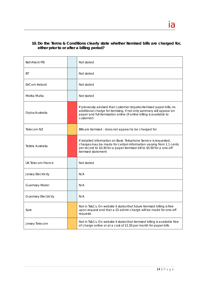# **10. Do the Terms & Conditions clearly state whether itemised bills are charged for, either prior to or after a billing period?**

| <b>Bell Aliant PEI</b>      | Not stated                                                                                                                                                                                                                             |
|-----------------------------|----------------------------------------------------------------------------------------------------------------------------------------------------------------------------------------------------------------------------------------|
| ВT                          | Not stated                                                                                                                                                                                                                             |
| EirCom Ireland              | Not stated                                                                                                                                                                                                                             |
| Melita Malta                | Not stated                                                                                                                                                                                                                             |
| Optus Australia             | If previously advised that customer requires itemised paper bills, no<br>additional charge for itemising, if not only summary will appear on<br>paper and full itemisation online (if online billing is available to<br>customer)      |
| Telecom NZ                  | Bills are itemised - does not appear to be charged for                                                                                                                                                                                 |
| Telstra Australia           | If detailed information on Basic Telephone Service is requested,<br>charges may be made for certain information varying from 1.1 cents<br>per record to \$3.30 for a paper itemised bill to \$5.50 for a one-off<br>itemised statement |
| <b>UK Telecom France</b>    | Not stated                                                                                                                                                                                                                             |
| Jersey Electricity          | N/A                                                                                                                                                                                                                                    |
| <b>Guernsey Water</b>       | N/A                                                                                                                                                                                                                                    |
| <b>Guernsey Electricity</b> | N/A                                                                                                                                                                                                                                    |
| Sure                        | Not in Ts&Cs. On website it states that future itemised billing is free<br>upon request and that a £5 admin charge will be made for one-off<br>requests                                                                                |
| Jersey Telecom              | Not in Ts&Cs. On website it states that itemised billing is available free<br>of charge online or at a cost of £1.50 per month for paper bills                                                                                         |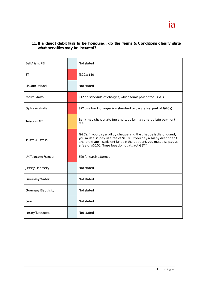# **11. If a direct debit fails to be honoured, do the Terms & Conditions clearly state what penalties may be incurred?**

| <b>Bell Aliant PEI</b>      | Not stated                                                                                                                                                                                                                                                                   |
|-----------------------------|------------------------------------------------------------------------------------------------------------------------------------------------------------------------------------------------------------------------------------------------------------------------------|
| ВT                          | Ts&Cs: £10                                                                                                                                                                                                                                                                   |
| EirCom Ireland              | Not stated                                                                                                                                                                                                                                                                   |
| Melita Malta                | E12 on schedule of charges, which forms part of the Ts&Cs                                                                                                                                                                                                                    |
| Optus Australia             | \$22 plus bank charges (on standard pricing table, part of Ts&Cs)                                                                                                                                                                                                            |
| Telecom NZ                  | Bank may charge late fee and supplier may charge late payment<br>fee                                                                                                                                                                                                         |
| Telstra Australia           | Ts&Cs: "If you pay a bill by cheque and the cheque is dishonoured,<br>you must also pay us a fee of \$15.00. If you pay a bill by direct debit<br>and there are insufficient funds in the account, you must also pay us<br>a fee of \$10.00. These fees do not attract GST." |
| <b>UK Telecom France</b>    | E20 for each attempt                                                                                                                                                                                                                                                         |
| Jersey Electricity          | Not stated                                                                                                                                                                                                                                                                   |
| <b>Guernsey Water</b>       | Not stated                                                                                                                                                                                                                                                                   |
| <b>Guernsey Electricity</b> | Not stated                                                                                                                                                                                                                                                                   |
| Sure                        | Not stated                                                                                                                                                                                                                                                                   |
| Jersey Telecoms             | Not stated                                                                                                                                                                                                                                                                   |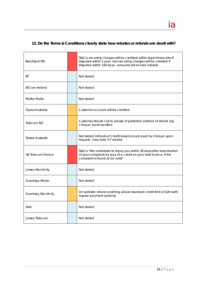# **12. Do the Terms & Conditions clearly state how rebates or refunds are dealt with?**

<u>ia dia mponina amin'ny fivondronan-kaominin'i Amerika ao amin'ny fivondronan-kaominin'i Amerika ao amin'ny fivo</u>

| <b>Bell Aliant PEI</b>      | Ts&Cs: recurring charges will be credited within legal timescales if<br>disputed within 1 year, non-recurring charges will be credited if<br>disputed within 150 days - amounts will include interest |  |  |  |  |
|-----------------------------|-------------------------------------------------------------------------------------------------------------------------------------------------------------------------------------------------------|--|--|--|--|
| <b>BT</b>                   | Not stated                                                                                                                                                                                            |  |  |  |  |
| EirCom Ireland              | Not stated                                                                                                                                                                                            |  |  |  |  |
| Melita Malta                | Not stated                                                                                                                                                                                            |  |  |  |  |
| Optus Australia             | Customer account will be credited                                                                                                                                                                     |  |  |  |  |
| Telecom NZ                  | Customer should call to advise of preferred method of refund (eg<br>cheque, bank transfer)                                                                                                            |  |  |  |  |
| Telstra Australia           | Not stated (refunds of credit balances are paid by cheque upon<br>request - may take 5-7 weeks)                                                                                                       |  |  |  |  |
| UK Telecom France           | Ts&Cs: "We undertake to repay you within 30 days after examination<br>of your complaint by way of a credit on your next invoice, if the<br>complaint is found to be valid"                            |  |  |  |  |
| Jersey Electricity          | Not stated                                                                                                                                                                                            |  |  |  |  |
| <b>Guernsey Water</b>       | Not stated                                                                                                                                                                                            |  |  |  |  |
| <b>Guernsey Electricity</b> | On website: refund anything above standard credit limit of £20 (with<br>regular payment options)                                                                                                      |  |  |  |  |
| Sure                        | Not stated                                                                                                                                                                                            |  |  |  |  |
| Jersey Telecom              | Not stated                                                                                                                                                                                            |  |  |  |  |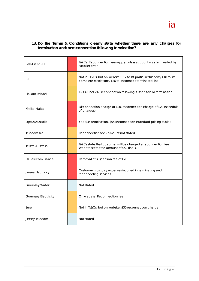# **13. Do the Terms & Conditions clearly state whether there are any charges for termination and/or reconnection following termination?**

| <b>Bell Aliant PEI</b>      | Ts&Cs: Reconnection fees apply unless account was terminated by<br>supplier error                                                      |  |  |  |  |
|-----------------------------|----------------------------------------------------------------------------------------------------------------------------------------|--|--|--|--|
| ВT                          | Not in Ts&Cs, but on website: £12 to lift partial restrictions, £18 to lift<br>complete restrictions, £26 to reconnect terminated line |  |  |  |  |
| EirCom Ireland              | €23.43 incl VAT reconnection following suspension or termination                                                                       |  |  |  |  |
| Melita Malta                | Disconnection charge of E20, reconnection charge of E20 (schedule<br>of charges)                                                       |  |  |  |  |
| Optus Australia             | Yes, \$35 termination, \$55 reconnection (standard pricing table)                                                                      |  |  |  |  |
| Telecom NZ                  | Reconnection fee - amount not stated                                                                                                   |  |  |  |  |
| Telstra Australia           | Ts&Cs state that customer will be charged a reconnection fee:<br>Website states the amount of \$59 (incl GST)                          |  |  |  |  |
| UK Telecom France           | Removal of suspension fee of E20                                                                                                       |  |  |  |  |
| Jersey Electricity          | Customer must pay expenses incurred in terminating and<br>reconnecting services                                                        |  |  |  |  |
| <b>Guernsey Water</b>       | Not stated                                                                                                                             |  |  |  |  |
| <b>Guernsey Electricity</b> | On website: Reconnection fee                                                                                                           |  |  |  |  |
| Sure                        | Not in Ts&Cs, but on website: £30 reconnection charge                                                                                  |  |  |  |  |
| Jersey Telecom              | Not stated                                                                                                                             |  |  |  |  |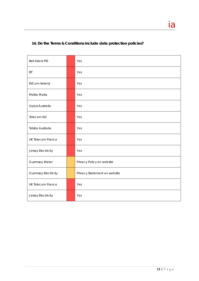# **14. Do the Terms & Conditions include data protection policies?**

| <b>Bell Aliant PEI</b>      | Yes                          |
|-----------------------------|------------------------------|
| BT                          | Yes                          |
| EirCom Ireland              | Yes                          |
| Melita Malta                | Yes                          |
| Optus Australia             | Yes                          |
| Telecom NZ                  | Yes                          |
| Telstra Australia           | Yes                          |
| <b>UK Telecom France</b>    | Yes                          |
| Jersey Electricity          | Yes                          |
| <b>Guernsey Water</b>       | Privacy Policy on website    |
| <b>Guernsey Electricity</b> | Privacy Statement on website |
| <b>UK Telecom France</b>    | Yes                          |
| Jersey Electricity          | Yes                          |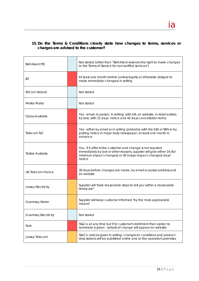# **15. Do the Terms & Conditions clearly state how changes to terms, services or charges are advised to the customer?**

| <b>Bell Aliant PEI</b>      | Not stated (other than "Bell Aliant reserves the right to make changes<br>to the Terms of Service for non-tariffed services")                                                                                 |  |  |  |  |  |
|-----------------------------|---------------------------------------------------------------------------------------------------------------------------------------------------------------------------------------------------------------|--|--|--|--|--|
| ВT                          | At least one month before (unless legally or otherwise obliged to<br>make immediate changes) in writing                                                                                                       |  |  |  |  |  |
| EirCom Ireland              | Not stated                                                                                                                                                                                                    |  |  |  |  |  |
| Melita Malta                | Not stated                                                                                                                                                                                                    |  |  |  |  |  |
| Optus Australia             | Yes - email, in person, in writing, with bill, on website, in retail outlets,<br>by text, with 21 days' notice and 42 days cancellation terms                                                                 |  |  |  |  |  |
| Telecom NZ                  | Yes - either by email or in writing (probably with the bill) or SNS or by<br>putting notice in major daily newspaper, at least one month in<br>advance                                                        |  |  |  |  |  |
| Telstra Australia           | Yes - if it affects the customer and change is not required<br>immediately by law or other reasons, supplier will give either 14 (for<br>minimum impact changes) or 30 (major impact changes) days'<br>notice |  |  |  |  |  |
| UK Telecom France           | 30 days before changes are made, by email or postal address and<br>on website                                                                                                                                 |  |  |  |  |  |
| Jersey Electricity          | Supplier will "take reasonable steps to tell you within a reasonable<br>timescale"                                                                                                                            |  |  |  |  |  |
| <b>Guernsey Water</b>       | Supplier will keep customer informed "by the most appropriate<br>means"                                                                                                                                       |  |  |  |  |  |
| <b>Guernsey Electricity</b> | Not stated                                                                                                                                                                                                    |  |  |  |  |  |
| Sure                        | Ts&Cs: at any time but if to customer's detriment then option to<br>terminate is given - details of change will appear on website                                                                             |  |  |  |  |  |
| Jersey Telecom              | Ts&Cs: notices given in writing; changes to conditions and product<br>descriptions will be published online and at the operator's premises                                                                    |  |  |  |  |  |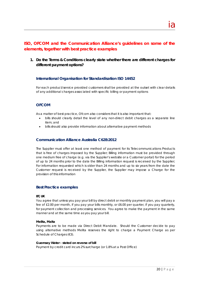# **ISO, OFCOM and the Communication Alliance's guidelines on some of the elements, together with best practice examples**

**1. Do the Terms & Conditions clearly state whether there are different charges for different payment options?** 

#### **International Organisation for Standardisation ISO 14452**

For each product/service provided customers shall be provided at the outset with clear details of any additional charges associated with specific billing or payment options

## **OFCOM**

As a matter of best practice, Ofcom also considers that it is also important that:

- bills should clearly detail the level of any non-direct debit charges as a separate line item; and
- bills should also provide information about alternative payment methods

#### **Communication Alliance Australia C628:2012**

The Supplier must offer at least one method of payment for its Telecommunications Products that is free of charges imposed by the Supplier; Billing information must be provided through one medium free of charge (e.g. via the Supplier's website or a Customer portal) for the period of up to 24 months prior to the date the Billing information request is received by the Supplier; For information requested which is older than 24 months and up to six years from the date the Customer request is received by the Supplier, the Supplier may impose a Charge for the provision of this information

#### **Best Practice examples**

#### **BT, UK**

You agree that unless you pay your bill by direct debit or monthly payment plan, you will pay a fee of £2.00 per month, if you pay your bills monthly, or £6.00 per quarter, if you pay quarterly, for payment collection and processing services. You agree to make the payment in the same manner and at the same time as you pay your bill.

#### **Melita, Malta**

Payments are to be made via Direct Debit Mandate. Should the Customer decide to pay using alternative methods Melita reserves the right to charge a Payment Charge as per Schedule of Charges (€3).

#### **Guernsey Water - stated on reverse of bill**

Payment by credit card incurs 2% surcharge (or 1.8% at a Post Office)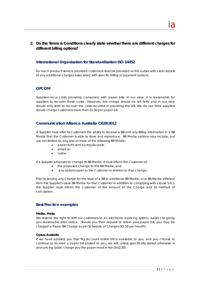# **2. Do the Terms & Conditions clearly state whether there are different charges for different billing options?**

## **International Organisation for Standardisation ISO 14452**

For each product/service provided customers shall be provided at the outset with clear details of any additional charges associated with specific billing or payment options.

## **OFCOM**

Suppliers incur costs providing consumers with paper bills. In our view, it is reasonable for suppliers to recover those costs. However, this charge should be set fairly and in our view should only seek to recover the costs incurred in providing the bill. We do not think suppliers should charge customers more than £1.50 per paper bill.

## **Communication Alliance Australia C628:2012**

A Supplier must offer its Customers the ability to receive a Bill and any Billing information in a Bill Media that the Customer is able to store and reproduce. Bill Media options may include, but are not limited to, any one or more of the following Bill Media:

- paper form sent by regular post;
- email; or
- online.

If a Supplier proposes to change its Bill Media, it must inform the Customer of:

- the proposed change to the Bill Media; and
- any options open to the Customer in relation to that change.

Prior to levying any Charge for the issue of a Bill in additional Bill Media; or in Bill Media different from the Supplier's usual Bill Media for that Customer in addition to complying with clause 5.6.1, the Supplier must inform the Customer of the amount of the Charge and its method of calculation.

### **Best Practice examples**

#### **Melita, Malta**

We reserve the right to shift our customers to an electronic invoicing system, subject to giving you reasonable prior notice. Should you then request to retain your paper bill, you may be charged a Paper Bill Charge as per Schedule of Charges (€1.50 per month).

#### **Optus, Australia**

If we have advised you that My Account online bill is available to you, and you choose to continue to receive a paper bill posted to you, we will, unless specifically stated otherwise in your pricing table, charge you the paper invoice fee (A\$2.20).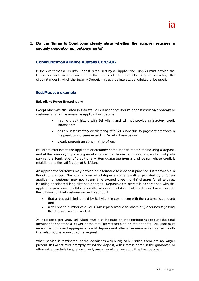# **3. Do the Terms & Conditions clearly state whether the supplier requires a security deposit or upfront payments?**

### **Communication Alliance Australia C628:2012**

In the event that a Security Deposit is required by a Supplier, the Supplier must provide the Consumer with information about the terms of that Security Deposit, including the circumstances in which the Security Deposit may accrue interest, be forfeited or be repaid.

#### **Best Practice example**

#### **Bell, Aliant, Prince Edward Island**

Except otherwise stipulated in its tariffs, Bell Aliant cannot require deposits from an applicant or customer at any time unless the applicant or customer:

- has no credit history with Bell Aliant and will not provide satisfactory credit information;
- has an unsatisfactory credit rating with Bell Aliant due to payment practices in the previous two years regarding Bell Aliant services; or
- clearly presents an abnormal risk of loss.

Bell Aliant must inform the applicant or customer of the specific reason for requiring a deposit, and of the possibility of providing an alternative to a deposit, such as arranging for third party payment, a bank letter of credit or a written guarantee from a third person whose credit is established to the satisfaction of Bell Aliant.

An applicant or customer may provide an alternative to a deposit provided it is reasonable in the circumstances. The total amount of all deposits and alternatives provided by or for an applicant or customer may not at any time exceed three months' charges for all services, including anticipated long distance charges. Deposits earn interest in accordance with the applicable provisions of Bell Aliant's tariffs. Whenever Bell Aliant holds a deposit it must indicate the following on that customer's monthly account:

- that a deposit is being held by Bell Aliant in connection with the customer's account; and
- a telephone number of a Bell Aliant representative to whom any enquiries regarding the deposit may be directed.

At least once per year, Bell Aliant must also indicate on that customer's account the total amount of deposits held as well as the total interest accrued on the deposits. Bell Aliant must review the continued appropriateness of deposits and alternative arrangements at six month intervals or sooner upon customer request.

When service is terminated or the conditions which originally justified them are no longer present, Bell Aliant must promptly refund the deposit, with interest, or return the guarantee or other written undertaking, retaining only any amount then owed to it by the customer.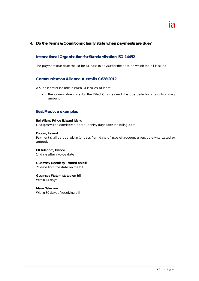## **4. Do the Terms & Conditions clearly state when payments are due?**

### **International Organisation for Standardisation ISO 14452**

The payment due date should be at least 10 days after the date on which the bill is issued.

#### **Communication Alliance Australia C628:2012**

A Supplier must include in each Bill it issues, at least:

• the current due date for the Billed Charges and the due date for any outstanding amount

#### **Best Practice examples**

#### **Bell Aliant, Prince Edward Island**

Charges will be considered past due thirty days after the billing date.

#### **Eircom, Ireland**

Payment shall be due within 14 days from date of issue of account unless otherwise stated or agreed.

#### **UK Telecom, France**

14 days after invoice date

# **Guernsey Electricity - stated on bill**

21 days from the date on the bill

### **Guernsey Water - stated on bill**

Within 14 days

#### **Manx Telecom**

Within 30 days of receiving bill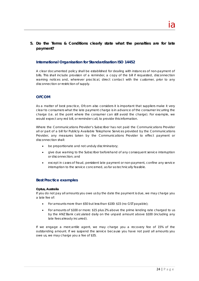# **5. Do the Terms & Conditions clearly state what the penalties are for late payment?**

#### **International Organisation for Standardisation ISO 14452**

A clear documented policy shall be established for dealing with instances of non-payment of bills. This shall include provision of a reminder, a copy of the bill if requested, disconnection warning notices and, wherever practical, direct contact with the customer, prior to any disconnection or restriction of supply.

### **OFCOM**

As a matter of best practice, Ofcom also considers it is important that suppliers make it very clear to consumers what the late payment charge is in advance of the consumer incurring the charge (i.e. at the point where the consumer can still avoid the charge). For example, we would expect any red bill, or reminder call, to provide this information.

Where the Communications Provider's Subscriber has not paid the Communications Provider all or part of a bill for Publicly Available Telephone Services provided by the Communications Provider, any measures taken by the Communications Provider to effect payment or disconnection shall:

- be proportionate and not unduly discriminatory;
- give due warning to the Subscriber beforehand of any consequent service interruption or disconnection; and
- except in cases of fraud, persistent late payment or non-payment, confine any service interruption to the service concerned, as far as technically feasible.

#### **Best Practice examples**

#### **Optus, Australia**

If you do not pay all amounts you owe us by the date the payment is due, we may charge you a late fee of:

- For amounts more than \$50 but less than \$100: \$15 (no GST payable);
- For amounts of \$100 or more: \$15 plus 2% above the prime lending rate charged to us by the ANZ Bank calculated daily on the unpaid amount above \$100 (including any late fees already incurred).

If we engage a mercantile agent, we may charge you a recovery fee of 15% of the outstanding amount. If we suspend the service because you have not paid all amounts you owe us, we may charge you a fee of \$35.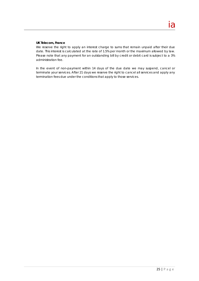#### **UK Telecom, France**

We reserve the right to apply an interest charge to sums that remain unpaid after their due date. This interest is calculated at the rate of 1.5% per month or the maximum allowed by law. Please note that any payment for an outstanding bill by credit or debit card is subject to a 3% administration fee.

In the event of non-payment within 14 days of the due date we may suspend, cancel or terminate your services. After 21 days we reserve the right to cancel all services and apply any termination fees due under the conditions that apply to those services.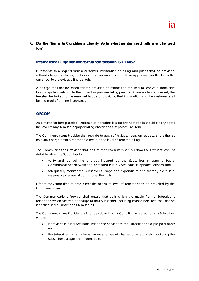# **6. Do the Terms & Conditions clearly state whether itemised bills are charged for?**

#### **International Organisation for Standardisation ISO 14452**

In response to a request from a customer, information on billing and prices shall be provided without charge, including further information on individual items appearing on the bill in the current or two previous billing periods.

A charge shall not be levied for the provision of information required to resolve a bona fide billing dispute in relation to the current or previous billing periods. Where a charge is levied, the fee shall be limited to the reasonable cost of providing that information and the customer shall be informed of the fee in advance.

### **OFCOM**

As a matter of best practice, Ofcom also considers it is important that bills should clearly detail the level of any itemised or paper billing charges as a separate line item.

The Communications Provider shall provide to each of its Subscribers, on request, and either at no extra charge or for a reasonable fee, a basic level of itemised billing.

The Communications Provider shall ensure that each itemised bill shows a sufficient level of detail to allow the Subscriber to:

- verify and control the charges incurred by the Subscriber in using a Public Communications Network and/or related Publicly Available Telephone Services; and
- adequately monitor the Subscriber's usage and expenditure and thereby exercise a reasonable degree of control over their bills.

Ofcom may from time to time direct the minimum level of itemisation to be provided by the Communications.

The Communications Provider shall ensure that calls which are made from a Subscriber's telephone which are free of charge to that Subscriber, including calls to helplines, shall not be identified in the Subscriber's itemised bill.

The Communications Provider shall not be subject to this Condition in respect of any Subscriber where:

- it provides Publicly Available Telephone Services to the Subscriber on a pre-paid basis; and
- the Subscriber has an alternative means, free of charge, of adequately monitoring the Subscriber's usage and expenditure.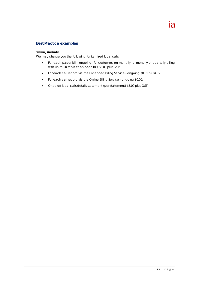### **Best Practice examples**

#### **Telstra, Australia**

We may charge you the following for itemised local calls:

- For each paper bill ongoing (for customers on monthly, bi-monthly or quarterly billing with up to 20 services on each bill) \$3.00 plus GST;
- For each call record via the Enhanced Billing Service ongoing \$0.01 plus GST;
- For each call record via the Online Billing Service ongoing \$0.00;
- Once off local calls details statement (per statement) \$5.00 plus GST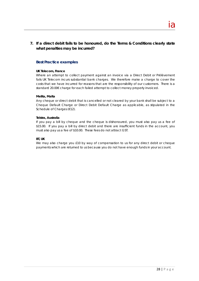# **7. If a direct debit fails to be honoured, do the Terms & Conditions clearly state what penalties may be incurred?**

## **Best Practice examples**

#### **UK Telecom, France**

Where an attempt to collect payment against an invoice via a Direct Debit or Prélèvement fails UK Telecom incurs substantial bank charges. We therefore make a charge to cover the costs that we have incurred for reasons that are the responsibility of our customers. There is a standard 20.00€ charge for each failed attempt to collect money properly invoiced.

#### **Melita, Malta**

Any cheque or direct debit that is cancelled or not cleared by your bank shall be subject to a Cheque Default Charge or Direct Debit Default Charge as applicable, as stipulated in the Schedule of Charges (€12).

#### **Telstra, Australia**

If you pay a bill by cheque and the cheque is dishonoured, you must also pay us a fee of \$15.00. If you pay a bill by direct debit and there are insufficient funds in the account, you must also pay us a fee of \$10.00. These fees do not attract GST.

#### **BT, UK**

We may also charge you £10 by way of compensation to us for any direct debit or cheque payments which are returned to us because you do not have enough funds in your account.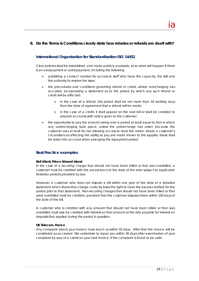# **8. Do the Terms & Conditions clearly state how rebates or refunds are dealt with?**

<u>ia dia mponina amin'ny fivondronan-kaominin'i Amerika ao amin'ny fivondronan-kaominin'i Amerika ao amin'ny fivo</u>

#### **International Organisation for Standardisation ISO 14452**

Clear policies shall be established, and made publicly available, as to what will happen if there is an overpayment or underpayment, including the following:

- publishing a contact number for access to staff who have the capacity, the skill and the authority to resolve the issue;
- the procedures and conditions governing refund or credit, where overcharging has occurred, incorporating a statement as to the period by which any such refund or credit will be effected:
	- o in the case of a refund, this period shall be not more than 10 working days from the date of agreement that a refund will be made;
	- o in the case of a credit, it shall appear on the next bill or shall be credited to prepaid accounts with notice given to the customer;
- the opportunity to pay the amount owing over a period at least equal to that in which any undercharging took place, unless the undercharge has arisen because the customer was at fault for not allowing access to read the meter: where a customer's circumstances affecting the ability to pay are made known to the supplier, these shall be taken into account when arranging the repayment period.

#### **Best Practice examples**

#### **Bell Aliant, Prince Edward Island**

In the case of a recurring charge that should not have been billed or that was overbilled, a customer must be credited with the excess back to the date of the error subject to applicable limitation periods provided by law.

However, a customer who does not dispute a bill within one year of the date of a detailed statement which shows that charge correctly loses the right to have the excess credited for the period prior to that statement. Non-recurring charges that should not have been billed or that were overbilled must be credited, provided that the customer disputes them within 150 days of the date of the bill.

A customer who is credited with any amount that should not have been billed or that was overbilled must also be credited with interest on that amount at the rate payable for interest on deposits that applied during the period in question.

#### **UK Telecom, France**

Any complaint about your invoice must reach us within 10 days. After that the invoice will be considered as accepted. We undertake to repay you within 30 days after examination of your complaint by way of a credit on your next invoice, if the complaint is found to be valid.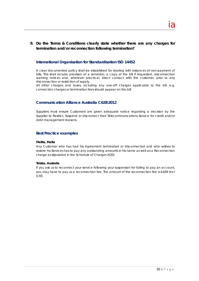# **9. Do the Terms & Conditions clearly state whether there are any charges for termination and/or reconnection following termination?**

<u>ia dia mponina amin'ny fivondronan-kaominin'i Amerika ao amin'ny fivondronan-kaominin'i Amerika ao amin'ny fivo</u>

#### **International Organisation for Standardisation ISO 14452**

A clear documented policy shall be established for dealing with instances of non-payment of bills. This shall include provision of a reminder, a copy of the bill if requested, disconnection warning notices and, wherever practical, direct contact with the customer, prior to any disconnection or restriction of supply.

All other charges and taxes, including any one-off charges applicable to the bill, e.g. connection charges or termination fees should appear on the bill.

#### **Communication Alliance Australia C628:2012**

Suppliers must ensure Customers are given adequate notice regarding a decision by the Supplier to Restrict, Suspend or disconnect their Telecommunications Service for credit and/or debt management reasons.

#### **Best Practice examples**

#### **Melita, Malta**

Any Customer who has had his Agreement terminated or disconnected and who wishes to restore his Services has to pay any outstanding amounts in his name as well as a Reconnection charge as stipulated in the Schedule of Charges (€20)

#### **Telstra, Australia**

If you ask us to reconnect your service following your suspension for failing to pay an account, you may have to pay us a reconnection fee. The amount of the reconnection fee is A\$59 (incl GST).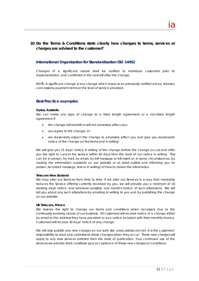# **10. Do the Terms & Conditions state clearly how changes to terms, services or charges are advised to the customer?**

#### **International Organisation for Standardisation ISO 14452**

Changes of a significant nature shall be notified to individual customers prior to implementation, and confirmed in the next bill after the change.

NOTE: A significant change is any change which impacts on previously notified prices, rebates, concessions, payment terms or the level of service provided.

#### **Best Practice examples**

#### **Optus, Australia**

We can make any type of change to a fixed length agreement or a non-fixed length agreement if:

- the change will benefit or will not adversely affect you;
- you agree to the change; or
- we reasonably expect the change to adversely affect you and give you reasonable notice of the change on fair terms and in writing:

We will give you 21 days' notice in writing of the change before the change occurs and offer you the right to cancel the service within 42 days from the date of our notice in writing. This can be in person, by mail, by email, by bill message or bill insert or, in some circumstances, by making the information available on our website or at retail outlets and informing you (in person, recorded message, text or in writing) of how to obtain the information.

#### **Telecom New Zealand**

We may alter our Services from time to time. If we alter our Services in a way that materially reduces the Service offering currently received by you, we will provide you a minimum of 10 working days' notice, and wherever possible, one month's notice, of such alterations. We will tell you about any such alterations by emailing or writing to you and by publishing the change on our website.

#### **UK Telecom, France**

We reserve the right to change our terms and conditions when necessary due to the continually evolving nature of our business. All customers will receive notice of a change either by email to the address they have provided or as a notice included with their monthly invoice. Customers will receive 30 days' notice of any change.

We will also publish any new charges on our web site: www.uktelecom.net. It is the customers' responsibility to read and understand these changes when they occur. These new charges will apply to any new services ordered from the date of publication. Your continued use of the services we provide shall constitute your acceptance of these new charges or conditions.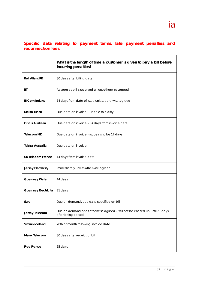# **Specific data relating to payment terms, late payment penalties and reconnection fees**

|                             | What is the length of time a customer is given to pay a bill before<br>incurring penalties?      |
|-----------------------------|--------------------------------------------------------------------------------------------------|
| <b>Bell Aliant PEI</b>      | 30 days after billing date                                                                       |
| ВT                          | As soon as bill is received unless otherwise agreed                                              |
| <b>EirCom Ireland</b>       | 14 days from date of issue unless otherwise agreed                                               |
| Melita Malta                | Due date on invoice - unable to clarify                                                          |
| Optus Australia             | Due date on invoice - 14 days from invoice date                                                  |
| <b>Telecom NZ</b>           | Due date on invoice - appears to be 17 days                                                      |
| Telstra Australia           | Due date on invoice                                                                              |
| <b>UK Telecom France</b>    | 14 days from invoice date                                                                        |
| <b>Jersey Electricity</b>   | Immediately unless otherwise agreed                                                              |
| <b>Guernsey Water</b>       | 14 days                                                                                          |
| <b>Guernsey Electricity</b> | 21 days                                                                                          |
| Sure                        | Due on demand, due date specified on bill                                                        |
| Jersey Telecom              | Due on demand or as otherwise agreed - will not be chased up until 21 days<br>after being posted |
| Siminn Iceland              | 20th of month following invoice date                                                             |
| <b>Manx Telecom</b>         | 30 days after receipt of bill                                                                    |
| <b>Free France</b>          | 15 days                                                                                          |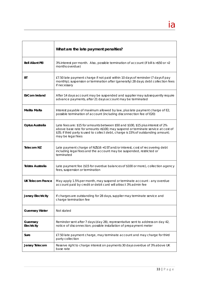|                           | What are the late payment penalties?                                                                                                                                                                                                                                           |
|---------------------------|--------------------------------------------------------------------------------------------------------------------------------------------------------------------------------------------------------------------------------------------------------------------------------|
| <b>Bell Aliant PEI</b>    | 3% interest per month. Also, possible termination of account (if bill is >\$50 or >2<br>months overdue)                                                                                                                                                                        |
| ВT                        | £7.50 late payment charge if not paid within 10 days of reminder (7 days if pay<br>monthly); suspension or termination after (generally) 28 days; debt collection fees<br>if necessary                                                                                         |
| <b>EirCom Ireland</b>     | After 14 days account may be suspended and supplier may subsequently require<br>advance payments, after 21 days account may be terminated                                                                                                                                      |
| <b>Melita Malta</b>       | Interest payable of maximum allowed by law, plus late payment charge of E2,<br>possible termination of account (including disconnection fee of E20)                                                                                                                            |
| Optus Australia           | Late fees are: \$15 for amounts between \$50 and \$100, \$15 plus interest of 2%<br>above base rate for amounts >\$100; may suspend or terminate service at cost of<br>\$35; if third party is used to collect debt, charge is 15% of outstanding amount;<br>may be legal fees |
| <b>Telecom NZ</b>         | Late payment charge of NZ\$16 + GST and/or interest, cost of recovering debt<br>including legal fees and the account may be suspended, restricted or<br>terminated                                                                                                             |
| <b>Telstra Australia</b>  | Late payment fee (\$15 for overdue balances of \$100 or more), collection agency<br>fees, suspension or termination                                                                                                                                                            |
| <b>UK Telecom France</b>  | May apply 1.5% per month, may suspend or terminate account - any overdue<br>account paid by credit or debit card will attract 3% admin fee                                                                                                                                     |
| <b>Jersey Electricity</b> | If charges are outstanding for 28 days, supplier may terminate service and<br>charge termination fee                                                                                                                                                                           |
| <b>Guernsey Water</b>     | Not stated                                                                                                                                                                                                                                                                     |
| Guernsey<br>Electricity   | Reminder sent after 7 days (day 28), representative sent to address on day 42,<br>notice of disconnection; possible installation of prepayment meter                                                                                                                           |
| Sure                      | £7.50 late payment charge, may terminate account and may charge for third<br>party collection                                                                                                                                                                                  |
| Jersey Telecom            | Reserve right to charge interest on payments 30 days overdue of 3% above UK<br>base rate                                                                                                                                                                                       |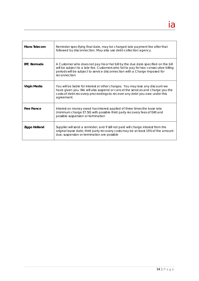| <b>Manx Telecom</b> | Reminder specifying final date, may be charged late payment fee after that<br>followed by disconnection. May also use debt-collection agency.                                                                                                                           |
|---------------------|-------------------------------------------------------------------------------------------------------------------------------------------------------------------------------------------------------------------------------------------------------------------------|
| <b>BTC Bermuda</b>  | A Customer who does not pay his or her bill by the due date specified on the bill<br>will be subject to a late fee. Customers who fail to pay for two consecutive billing<br>periods will be subject to service disconnection with a Charge imposed for<br>reconnection |
| Virgin Media        | You will be liable for interest or other charges. You may lose any discount we<br>have given you. We will also suspend or cancel the services and charge you the<br>costs of debt-recovery proceedings to recover any debt you owe under this<br>agreement.             |
| <b>Free France</b>  | Interest on money owed has interest applied of three times the base rate<br>(minimum charge E7.50) with possible third party recovery fees of E40 and<br>possible suspension or termination                                                                             |
| Ziggo Holland       | Supplier will send a reminder, and if still not paid will charge interest from the<br>original lapse date; third party recovery costs may be at least 15% of the amount<br>due; suspension or termination are possible                                                  |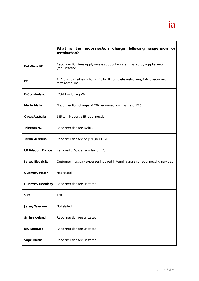|                             | What is the reconnection charge following suspension<br>or<br>termination?                               |  |  |  |  |  |  |  |  |  |
|-----------------------------|----------------------------------------------------------------------------------------------------------|--|--|--|--|--|--|--|--|--|
| <b>Bell Aliant PEI</b>      | Reconnection fees apply unless account was terminated by supplier error<br>(fee unstated)                |  |  |  |  |  |  |  |  |  |
| ВT                          | £12 to lift partial restrictions, £18 to lift complete restrictions, £26 to reconnect<br>terminated line |  |  |  |  |  |  |  |  |  |
| <b>EirCom Ireland</b>       | E23.43 including VAT                                                                                     |  |  |  |  |  |  |  |  |  |
| Melita Malta                | Disconnection charge of E20, reconnection charge of E20                                                  |  |  |  |  |  |  |  |  |  |
| Optus Australia             | \$35 termination, \$55 reconnection                                                                      |  |  |  |  |  |  |  |  |  |
| <b>Telecom NZ</b>           | Reconnection fee NZ\$63                                                                                  |  |  |  |  |  |  |  |  |  |
| <b>Telstra Australia</b>    | Reconnection fee of \$59 (incl. GST)                                                                     |  |  |  |  |  |  |  |  |  |
| <b>UK Telecom France</b>    | Removal of Suspension fee of E20                                                                         |  |  |  |  |  |  |  |  |  |
| <b>Jersey Electricity</b>   | Customer must pay expenses incurred in terminating and reconnecting services                             |  |  |  |  |  |  |  |  |  |
| <b>Guernsey Water</b>       | Not stated                                                                                               |  |  |  |  |  |  |  |  |  |
| <b>Guernsey Electricity</b> | Reconnection fee unstated                                                                                |  |  |  |  |  |  |  |  |  |
| Sure                        | £30                                                                                                      |  |  |  |  |  |  |  |  |  |
| Jersey Telecom              | Not stated                                                                                               |  |  |  |  |  |  |  |  |  |
| Siminn Iceland              | Reconnection fee unstated                                                                                |  |  |  |  |  |  |  |  |  |
| <b>BTC Bermuda</b>          | Reconnection fee unstated                                                                                |  |  |  |  |  |  |  |  |  |
| Virgin Media                | Reconnection fee unstated                                                                                |  |  |  |  |  |  |  |  |  |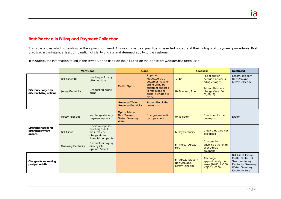# **Best Practice in Billing and Payment Collection**

This table shows which operators, in the opinion of Island Analysis, have best practice in selected aspects of their billing and payment procedures. Best practice, in this instance, is a combination of clarity of data and deemed equity to the customer.

In this table, the information found in the terms & conditions, on the bills and on the operator's websites has been used.

|                                                       |                             | <b>Very Good</b>                                                                          |                                                              | Good                                                                                      |                                                             | Adequate                                                                     |                                                                                                                                 |  |
|-------------------------------------------------------|-----------------------------|-------------------------------------------------------------------------------------------|--------------------------------------------------------------|-------------------------------------------------------------------------------------------|-------------------------------------------------------------|------------------------------------------------------------------------------|---------------------------------------------------------------------------------------------------------------------------------|--|
| Different charges for<br>different billing options    | Bell Aliant, BT             | no charges for any<br>billing options                                                     | If operator<br>requested that<br>customer move to            | Telstra                                                                                   | Paper bills for<br>certain plans incur<br>billing charges   | Eircom, Telecom<br>New Zealand,<br>Jersey Telecom                            |                                                                                                                                 |  |
|                                                       | <b>Jersey Electricity</b>   | Discount for online<br>billing                                                            | Melita, Optus                                                | online billing but<br>customer chooses<br>to retain paper<br>billing, a charge is<br>made | <b>UK Telecom, Sure</b>                                     | Paper bills incur a<br>charge (Sure: from<br>01/09/13                        |                                                                                                                                 |  |
|                                                       |                             |                                                                                           | Guernsey Water,<br><b>Guernsey Electricity</b>               | Paper billing is the<br>only option                                                       |                                                             |                                                                              |                                                                                                                                 |  |
| Different charges for<br>different payment<br>options | Jersey Telecom              | No charges for any<br>payment options                                                     | Optus, Telecom<br>New Zealand,<br>Telstra, Guernsey<br>Water | <b>Charges for credit</b><br>card payment                                                 | <b>UK Telecom</b>                                           | Direct debit is the<br>only option                                           | Eircom                                                                                                                          |  |
|                                                       | <b>Bell Aliant</b>          | Operator imposes<br>no charges but<br>there may be<br>charges from<br>financial companies |                                                              |                                                                                           | <b>Jersey Electricity</b>                                   | Credit cards are not<br>accepted                                             |                                                                                                                                 |  |
|                                                       | <b>Guernsey Electricity</b> | Discount for paying<br>directly into<br>operator's bank                                   |                                                              |                                                                                           | BT, Melita, Optus,<br>Sure                                  | Charges for<br>anything other than<br>direct debit<br>payment                |                                                                                                                                 |  |
| Charges for requesting<br>past paper bills            |                             |                                                                                           |                                                              |                                                                                           | BT, Optus, Telecom<br>New Zealand,<br><b>Jersey Telecom</b> | All charge<br>approximately the<br>same (£4.80, A\$5.50,<br>NZ\$5.11, £5.00) | Bell Aliant, Eircom,<br>Melita, Telstra, UK<br>Telecom, Jersey<br>Electricity, Guernsey<br>Water, Guernsey<br>Electricity, Sure |  |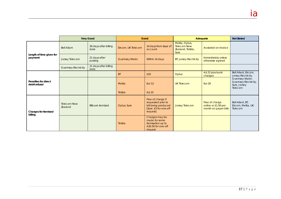|                                       |                               | <b>Very Good</b>              | Good                  |                                                                                                     | Adequate                                                          | <b>Not Stated</b>                                             |                                                                     |
|---------------------------------------|-------------------------------|-------------------------------|-----------------------|-----------------------------------------------------------------------------------------------------|-------------------------------------------------------------------|---------------------------------------------------------------|---------------------------------------------------------------------|
| Length of time given for<br>payment   | <b>Bell Aliant</b>            | 30 days after billing<br>date | Eircom, UK Telecom    | 14 days from issue of<br>account                                                                    | Melita, Optus,<br><b>Telecom New</b><br>Zealand, Telstra,<br>Sure | As stated on invoice                                          |                                                                     |
|                                       | Jersey Telecom                | 21 days after<br>posting      | <b>Guernsey Water</b> | Within 14 days                                                                                      | <b>BT, Jersey Electricity</b>                                     | Immediately unless<br>otherwise agreed                        |                                                                     |
|                                       | <b>Guernsey Electricity</b>   | 21 days after billing<br>date |                       |                                                                                                     |                                                                   |                                                               |                                                                     |
| Penalties for direct<br>debit refusal |                               |                               | <b>BT</b>             | £10                                                                                                 | <b>Optus</b>                                                      | A\$ 22 plus bank<br>charges                                   | Bell Aliant, Eircom,<br>Jersey Electricity,                         |
|                                       |                               |                               | Melita                | Eur <sub>12</sub>                                                                                   | <b>UK Telecom</b>                                                 | <b>Eur 20</b>                                                 | Guernsey Water,<br>Guernsey Electricity,<br>Sure, Jersey<br>Telecom |
|                                       |                               |                               | Telstra               | A\$ 10                                                                                              |                                                                   |                                                               |                                                                     |
| Charges for itemised<br>billing       | <b>Telecom New</b><br>Zealand | <b>Bills are itemised</b>     | Optus, Sure           | Free of charge if<br>requested prior to<br>bill being produced<br>[Sure: £5 for one-off<br>request] | <b>Jersey Telecom</b>                                             | Free of charge<br>online or £1.50 per<br>month on paper bills | Bell Aliant, BT,<br>Eircom, Melita, UK<br>Telecom                   |
|                                       |                               |                               | Telstra               | Charges may be<br>made for some<br>itemisation up to<br>A\$5.50 for one-off<br>request              |                                                                   |                                                               |                                                                     |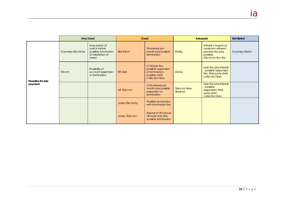|                               |                             | <b>Very Good</b>                                                                       | Good               |                                                                                               | Adequate                             | <b>Not Stated</b>                                                                             |                       |
|-------------------------------|-----------------------------|----------------------------------------------------------------------------------------|--------------------|-----------------------------------------------------------------------------------------------|--------------------------------------|-----------------------------------------------------------------------------------------------|-----------------------|
| Penalties for late<br>payment | <b>Guernsey Electricity</b> | long period of<br>notice before<br>possible termination<br>or installation of<br>meter | <b>Bell Aliant</b> | 3% interest per<br>month plus possible<br>termination                                         | <b>Melita</b>                        | Interest charged at<br>maximum allowed<br>plus late fee plus<br>possible<br>disconnection fee | <b>Guernsey Water</b> |
|                               | Eircom                      | Possibility of<br>account suspension<br>or termination                                 | BT, Sure           | £7.50 late fee,<br>possible suspension<br>or termination.<br>possible debt<br>collection fees | <b>Optus</b>                         | Late fee plus interest<br>possible suspension<br>fee, third party debt<br>collection fees     |                       |
|                               |                             |                                                                                        | <b>UK Telecom</b>  | 1.5% interest per<br>month plus possible<br>suspension or<br>termination                      | <b>Telecom New</b><br><b>Zealand</b> | Late fee plus interest<br>, possible<br>suspension, third<br>party debt<br>collection fees    |                       |
|                               |                             |                                                                                        | Jersey Electricity | Possible termination<br>with termination fee                                                  |                                      |                                                                                               |                       |
|                               |                             |                                                                                        | Jersey Telecom     | Interest of 3% above<br>UK base rate plus<br>possible termination                             |                                      |                                                                                               |                       |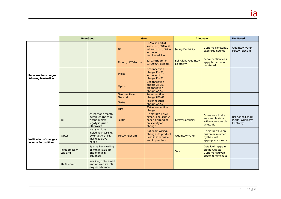|                                                  | <b>Very Good</b>              |                                                                                              | Good                          |                                                                                                             | Adequate                                           |                                                                                    | <b>Not Stated</b>                                       |
|--------------------------------------------------|-------------------------------|----------------------------------------------------------------------------------------------|-------------------------------|-------------------------------------------------------------------------------------------------------------|----------------------------------------------------|------------------------------------------------------------------------------------|---------------------------------------------------------|
| Reconnection charges<br>following termination    |                               |                                                                                              | <b>BT</b>                     | £12 to lift partial<br>restriction, £18 to lift<br>full restriction, £26 to<br>reconnect<br>terminated line | <b>Jersey Electricity</b>                          | Customers must pay<br>expenses incurred                                            | Guernsey Water,<br>Jersey Telecom                       |
|                                                  |                               |                                                                                              | Eircom, UK Telecom            | Eur 23 (Eircom) or<br>Eur 20 (UK Telecom)                                                                   | <b>Bell Aliant, Guernsey</b><br><b>Electricity</b> | <b>Reconnection fees</b><br>apply but amount<br>not stated                         |                                                         |
|                                                  |                               |                                                                                              | Melita                        | <b>Disconnection</b><br>charge Eur 20,<br>reconnection<br>charge Eur 20                                     |                                                    |                                                                                    |                                                         |
|                                                  |                               |                                                                                              | Optus                         | <b>Disconnection</b><br>charge A\$ 35,<br>reconnection<br>charge A\$55                                      |                                                    |                                                                                    |                                                         |
|                                                  |                               |                                                                                              | <b>Telecom New</b><br>Zealand | Reconnection<br>charge NZ\$ 63                                                                              |                                                    |                                                                                    |                                                         |
|                                                  |                               |                                                                                              | Telstra                       | Reconnection<br>charge A\$59                                                                                |                                                    |                                                                                    |                                                         |
|                                                  |                               |                                                                                              | Sure                          | £30 reconnection<br>charge                                                                                  |                                                    |                                                                                    |                                                         |
| Notification of changes<br>to terms & conditions | <b>BT</b>                     | At least one month<br>before changes in<br>writing (unless<br>legally required<br>otherwise) | Telstra                       | Operator will give<br>either 14 or 30 days<br>notice depending<br>on severity of<br>change                  | <b>Jersey Electricity</b>                          | Operator will take<br>reasonable steps<br>within a reasonable<br>timescale         | Bell Aliant, Eircom,<br>Melita, Guernsey<br>Electricity |
|                                                  | Optus                         | Many options<br>including in writing,<br>by email, with bill,<br>giving 21 days<br>notice    | Jersey Telecom                | Notices in writing,<br>changes to product<br>descriptions online<br>and in premises                         | <b>Guernsey Water</b>                              | Operator will keep<br>customer informed<br>by the most<br>appropriate means        |                                                         |
|                                                  | <b>Telecom New</b><br>Zealand | By email or in writing<br>or with bill at least<br>one month in<br>advance                   |                               |                                                                                                             | Sure                                               | Details will appear<br>on the website.<br>Customer is given<br>option to terminate |                                                         |
|                                                  | <b>UK Telecom</b>             | In writing or by email<br>and on website, 30<br>days in advance                              |                               |                                                                                                             |                                                    |                                                                                    |                                                         |